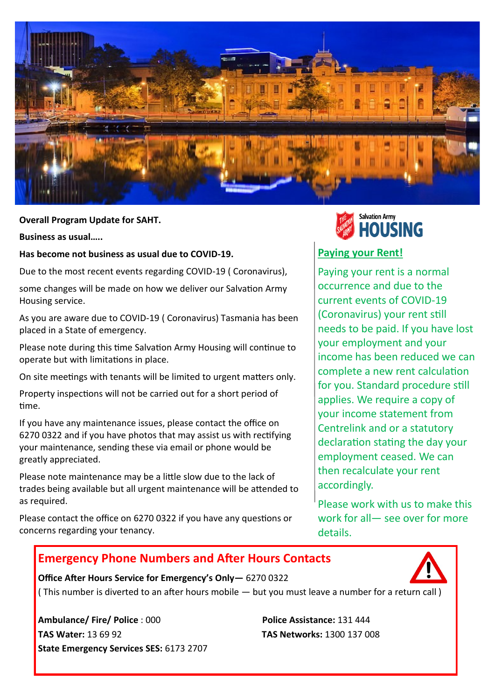

**Overall Program Update for SAHT. Alteration 2019** 

**Business as usual…..** 

**Has become not business as usual due to COVID-19.** 

Due to the most recent events regarding COVID-19 ( Coronavirus),

some changes will be made on how we deliver our Salvation Army Housing service.

As you are aware due to COVID-19 ( Coronavirus) Tasmania has been placed in a State of emergency.

Please note during this time Salvation Army Housing will continue to operate but with limitations in place.

On site meetings with tenants will be limited to urgent matters only.

Property inspections will not be carried out for a short period of time.

If you have any maintenance issues, please contact the office on 6270 0322 and if you have photos that may assist us with rectifying your maintenance, sending these via email or phone would be greatly appreciated.

Please note maintenance may be a little slow due to the lack of trades being available but all urgent maintenance will be attended to as required.

Please contact the office on 6270 0322 if you have any questions or concerns regarding your tenancy.

**Office After Hours Service for Emergency's Only—** 6270 0322



# **Paying your Rent!**

Paying your rent is a normal occurrence and due to the current events of COVID-19 (Coronavirus) your rent still needs to be paid. If you have lost your employment and your income has been reduced we can complete a new rent calculation for you. Standard procedure still applies. We require a copy of your income statement from Centrelink and or a statutory declaration stating the day your employment ceased. We can then recalculate your rent accordingly.

Please work with us to make this work for all— see over for more details.

# **Emergency Phone Numbers and After Hours Contacts**

( This number is diverted to an after hours mobile — but you must leave a number for a return call )

**Ambulance/ Fire/ Police** : 000 **Police Assistance:** 131 444 **TAS Water:** 13 69 92 **TAS Networks:** 1300 137 008 **State Emergency Services SES:** 6173 2707